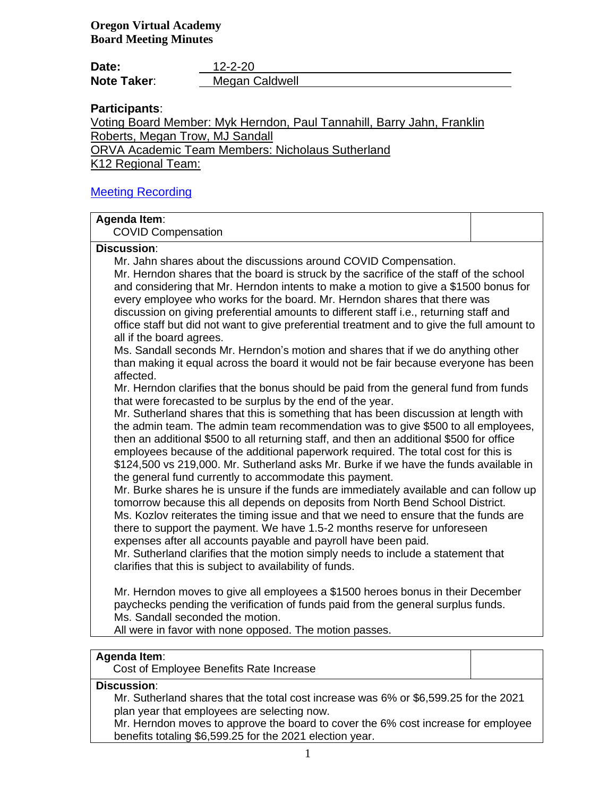| Date:              | $12 - 2 - 20$  |
|--------------------|----------------|
| <b>Note Taker:</b> | Megan Caldwell |

# **Participants**:

Voting Board Member: Myk Herndon, Paul Tannahill, Barry Jahn, Franklin Roberts, Megan Trow, MJ Sandall

ORVA Academic Team Members: Nicholaus Sutherland

K12 Regional Team:

### [Meeting Recording](https://k12inc-my.sharepoint.com/:v:/g/personal/mecaldwell_oregonva_org/EWXWyD6U_0JFoarF2lKhp4gBc6KWcAKu-NlKmTh8WEfHuQ?e=9MmbqZ)

## **Agenda Item**:

COVID Compensation

#### **Discussion**:

Mr. Jahn shares about the discussions around COVID Compensation.

Mr. Herndon shares that the board is struck by the sacrifice of the staff of the school and considering that Mr. Herndon intents to make a motion to give a \$1500 bonus for every employee who works for the board. Mr. Herndon shares that there was discussion on giving preferential amounts to different staff i.e., returning staff and office staff but did not want to give preferential treatment and to give the full amount to all if the board agrees.

Ms. Sandall seconds Mr. Herndon's motion and shares that if we do anything other than making it equal across the board it would not be fair because everyone has been affected.

Mr. Herndon clarifies that the bonus should be paid from the general fund from funds that were forecasted to be surplus by the end of the year.

Mr. Sutherland shares that this is something that has been discussion at length with the admin team. The admin team recommendation was to give \$500 to all employees, then an additional \$500 to all returning staff, and then an additional \$500 for office employees because of the additional paperwork required. The total cost for this is \$124,500 vs 219,000. Mr. Sutherland asks Mr. Burke if we have the funds available in the general fund currently to accommodate this payment.

Mr. Burke shares he is unsure if the funds are immediately available and can follow up tomorrow because this all depends on deposits from North Bend School District. Ms. Kozlov reiterates the timing issue and that we need to ensure that the funds are there to support the payment. We have 1.5-2 months reserve for unforeseen expenses after all accounts payable and payroll have been paid.

Mr. Sutherland clarifies that the motion simply needs to include a statement that clarifies that this is subject to availability of funds.

Mr. Herndon moves to give all employees a \$1500 heroes bonus in their December paychecks pending the verification of funds paid from the general surplus funds. Ms. Sandall seconded the motion.

All were in favor with none opposed. The motion passes.

### **Agenda Item**:

Cost of Employee Benefits Rate Increase

# **Discussion**:

Mr. Sutherland shares that the total cost increase was 6% or \$6,599.25 for the 2021 plan year that employees are selecting now.

Mr. Herndon moves to approve the board to cover the 6% cost increase for employee benefits totaling \$6,599.25 for the 2021 election year.